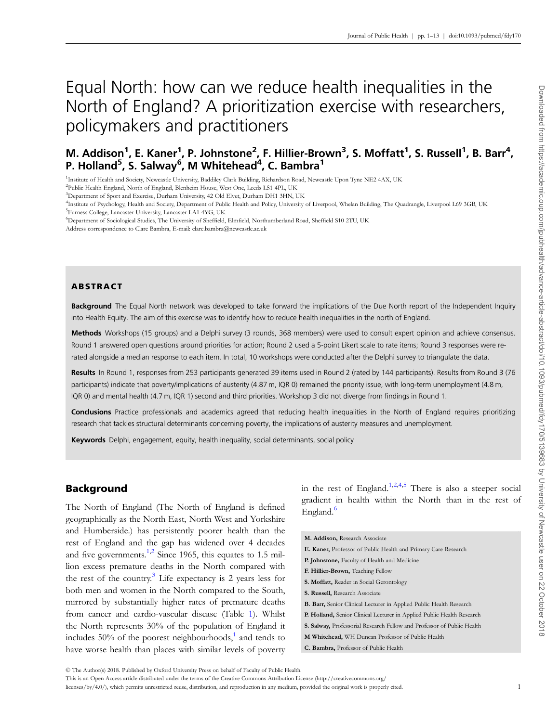# Equal North: how can we reduce health inequalities in the North of England? A prioritization exercise with researchers, policymakers and practitioners

# M. Addison<sup>1</sup>, E. Kaner<sup>1</sup>, P. Johnstone<sup>2</sup>, F. Hillier-Brown<sup>3</sup>, S. Moffatt<sup>1</sup>, S. Russell<sup>1</sup>, B. Barr<sup>4</sup>, P. Holland<sup>5</sup>, S. Salway<sup>6</sup>, M Whitehead<sup>4</sup>, C. Bambra<sup>1</sup>

<sup>1</sup>Institute of Health and Society, Newcastle University, Baddiley Clark Building, Richardson Road, Newcastle Upon Tyne NE2 4AX, UK

<sup>2</sup>Public Health England, North of England, Blenheim House, West One, Leeds LS1 4PL, UK

<sup>3</sup>Department of Sport and Exercise, Durham University, 42 Old Elvet, Durham DH1 3HN, UK

6 Department of Sociological Studies, The University of Sheffield, Elmfield, Northumberland Road, Sheffield S10 2TU, UK

Address correspondence to Clare Bambra, E-mail: clare.bambra@newcastle.ac.uk

# ABSTRACT

Background The Equal North network was developed to take forward the implications of the Due North report of the Independent Inquiry into Health Equity. The aim of this exercise was to identify how to reduce health inequalities in the north of England.

Methods Workshops (15 groups) and a Delphi survey (3 rounds, 368 members) were used to consult expert opinion and achieve consensus. Round 1 answered open questions around priorities for action; Round 2 used a 5-point Likert scale to rate items; Round 3 responses were rerated alongside a median response to each item. In total, 10 workshops were conducted after the Delphi survey to triangulate the data.

Results In Round 1, responses from 253 participants generated 39 items used in Round 2 (rated by 144 participants). Results from Round 3 (76 participants) indicate that poverty/implications of austerity (4.87 m, IQR 0) remained the priority issue, with long-term unemployment (4.8 m, IQR 0) and mental health (4.7 m, IQR 1) second and third priorities. Workshop 3 did not diverge from findings in Round 1.

Conclusions Practice professionals and academics agreed that reducing health inequalities in the North of England requires prioritizing research that tackles structural determinants concerning poverty, the implications of austerity measures and unemployment.

Keywords Delphi, engagement, equity, health inequality, social determinants, social policy

# Background

The North of England (The North of England is defined geographically as the North East, North West and Yorkshire and Humberside.) has persistently poorer health than the rest of England and the gap has widened over 4 decades and five governments.<sup>1,2</sup> Since 1965, this equates to 1.5 million excess premature deaths in the North compared with the rest of the country.<sup>3</sup> Life expectancy is 2 years less for both men and women in the North compared to the South, mirrored by substantially higher rates of premature deaths from cancer and cardio-vascular disease (Table [1\)](#page-1-0). Whilst the North represents 30% of the population of England it includes  $50\%$  of the poorest neighbourhoods,<sup>[1](#page-12-0)</sup> and tends to have worse health than places with similar levels of poverty

in the rest of England.<sup>[1,2](#page-12-0),[4,5](#page-12-0)</sup> There is also a steeper social gradient in health within the North than in the rest of England.<sup>[6](#page-12-0)</sup>

| M. Addison, Research Associate                                             |
|----------------------------------------------------------------------------|
| E. Kaner, Professor of Public Health and Primary Care Research             |
| P. Johnstone, Faculty of Health and Medicine                               |
| F. Hillier-Brown, Teaching Fellow                                          |
| <b>S. Moffatt, Reader in Social Gerontology</b>                            |
| S. Russell, Research Associate                                             |
| <b>B. Barr, Senior Clinical Lecturer in Applied Public Health Research</b> |
| P. Holland, Senior Clinical Lecturer in Applied Public Health Research     |
| S. Salway, Professorial Research Fellow and Professor of Public Health     |
| M Whitehead, WH Duncan Professor of Public Health                          |
| C. Bambra, Professor of Public Health                                      |

<sup>©</sup> The Author(s) 2018. Published by Oxford University Press on behalf of Faculty of Public Health.

This is an Open Access article distributed under the terms of the Creative Commons Attribution License [\(http://creativecommons.org/](http://creativecommons.org/licenses/by/4.0/)

[licenses/by/4.0/](http://creativecommons.org/licenses/by/4.0/)), which permits unrestricted reuse, distribution, and reproduction in any medium, provided the original work is properly cited. 1

<sup>4</sup> Institute of Psychology, Health and Society, Department of Public Health and Policy, University of Liverpool, Whelan Building, The Quadrangle, Liverpool L69 3GB, UK 5 Furness College, Lancaster University, Lancaster LA1 4YG, UK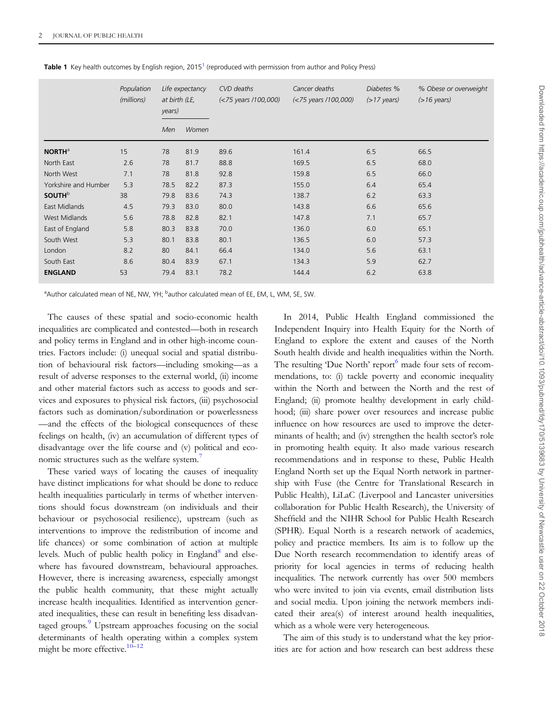|                           | Population<br>(millions) | at birth (LE,<br>years) | Life expectancy | CVD deaths<br>$(<$ 75 years /100,000) | Cancer deaths<br>$(<$ 75 years /100,000) | Diabetes %<br>$($ >17 years $)$ | % Obese or overweight<br>$(>16 \text{ years})$ |
|---------------------------|--------------------------|-------------------------|-----------------|---------------------------------------|------------------------------------------|---------------------------------|------------------------------------------------|
|                           |                          | Men                     | Women           |                                       |                                          |                                 |                                                |
| <b>NORTH</b> <sup>a</sup> | 15                       | 78                      | 81.9            | 89.6                                  | 161.4                                    | 6.5                             | 66.5                                           |
| North East                | 2.6                      | 78                      | 81.7            | 88.8                                  | 169.5                                    | 6.5                             | 68.0                                           |
| North West                | 7.1                      | 78                      | 81.8            | 92.8                                  | 159.8                                    | 6.5                             | 66.0                                           |
| Yorkshire and Humber      | 5.3                      | 78.5                    | 82.2            | 87.3                                  | 155.0                                    | 6.4                             | 65.4                                           |
| <b>SOUTH</b> <sup>b</sup> | 38                       | 79.8                    | 83.6            | 74.3                                  | 138.7                                    | 6.2                             | 63.3                                           |
| East Midlands             | 4.5                      | 79.3                    | 83.0            | 80.0                                  | 143.8                                    | 6.6                             | 65.6                                           |
| West Midlands             | 5.6                      | 78.8                    | 82.8            | 82.1                                  | 147.8                                    | 7.1                             | 65.7                                           |
| East of England           | 5.8                      | 80.3                    | 83.8            | 70.0                                  | 136.0                                    | 6.0                             | 65.1                                           |
| South West                | 5.3                      | 80.1                    | 83.8            | 80.1                                  | 136.5                                    | 6.0                             | 57.3                                           |
| London                    | 8.2                      | 80                      | 84.1            | 66.4                                  | 134.0                                    | 5.6                             | 63.1                                           |
| South East                | 8.6                      | 80.4                    | 83.9            | 67.1                                  | 134.3                                    | 5.9                             | 62.7                                           |
| <b>ENGLAND</b>            | 53                       | 79.4                    | 83.1            | 78.2                                  | 144.4                                    | 6.2                             | 63.8                                           |

<span id="page-1-0"></span>Table [1](#page-12-0) Key health outcomes by English region, 2015<sup>1</sup> (reproduced with permission from author and Policy Press)

<sup>a</sup>Author calculated mean of NE, NW, YH; <sup>b</sup>author calculated mean of EE, EM, L, WM, SE, SW.

The causes of these spatial and socio-economic health inequalities are complicated and contested—both in research and policy terms in England and in other high-income countries. Factors include: (i) unequal social and spatial distribution of behavioural risk factors—including smoking—as a result of adverse responses to the external world, (ii) income and other material factors such as access to goods and services and exposures to physical risk factors, (iii) psychosocial factors such as domination/subordination or powerlessness —and the effects of the biological consequences of these feelings on health, (iv) an accumulation of different types of disadvantage over the life course and (v) political and eco-nomic structures such as the welfare system.<sup>[7](#page-12-0)</sup>

These varied ways of locating the causes of inequality have distinct implications for what should be done to reduce health inequalities particularly in terms of whether interventions should focus downstream (on individuals and their behaviour or psychosocial resilience), upstream (such as interventions to improve the redistribution of income and life chances) or some combination of action at multiple levels. Much of public health policy in England $\delta$  and elsewhere has favoured downstream, behavioural approaches. However, there is increasing awareness, especially amongst the public health community, that these might actually increase health inequalities. Identified as intervention generated inequalities, these can result in benefiting less disadvan-taged groups.<sup>[9](#page-12-0)</sup> Upstream approaches focusing on the social determinants of health operating within a complex system might be more effective. $10-12$  $10-12$ 

In 2014, Public Health England commissioned the Independent Inquiry into Health Equity for the North of England to explore the extent and causes of the North South health divide and health inequalities within the North. The resulting 'Due North' report<sup>[6](#page-12-0)</sup> made four sets of recommendations, to: (i) tackle poverty and economic inequality within the North and between the North and the rest of England; (ii) promote healthy development in early childhood; (iii) share power over resources and increase public influence on how resources are used to improve the determinants of health; and (iv) strengthen the health sector's role in promoting health equity. It also made various research recommendations and in response to these, Public Health England North set up the Equal North network in partnership with Fuse (the Centre for Translational Research in Public Health), LiLaC (Liverpool and Lancaster universities collaboration for Public Health Research), the University of Sheffield and the NIHR School for Public Health Research (SPHR). Equal North is a research network of academics, policy and practice members. Its aim is to follow up the Due North research recommendation to identify areas of priority for local agencies in terms of reducing health inequalities. The network currently has over 500 members who were invited to join via events, email distribution lists and social media. Upon joining the network members indicated their area(s) of interest around health inequalities, which as a whole were very heterogeneous.

The aim of this study is to understand what the key priorities are for action and how research can best address these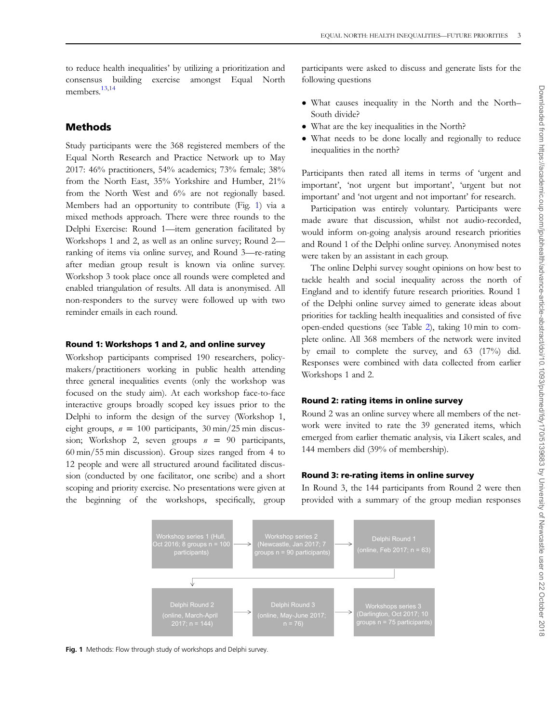to reduce health inequalities' by utilizing a prioritization and consensus building exercise amongst Equal North members.[13,14](#page-12-0)

# Methods

Study participants were the 368 registered members of the Equal North Research and Practice Network up to May 2017: 46% practitioners, 54% academics; 73% female; 38% from the North East, 35% Yorkshire and Humber, 21% from the North West and 6% are not regionally based. Members had an opportunity to contribute (Fig. 1) via a mixed methods approach. There were three rounds to the Delphi Exercise: Round 1—item generation facilitated by Workshops 1 and 2, as well as an online survey; Round 2 ranking of items via online survey, and Round 3—re-rating after median group result is known via online survey. Workshop 3 took place once all rounds were completed and enabled triangulation of results. All data is anonymised. All non-responders to the survey were followed up with two reminder emails in each round.

### Round 1: Workshops 1 and 2, and online survey

Workshop participants comprised 190 researchers, policymakers/practitioners working in public health attending three general inequalities events (only the workshop was focused on the study aim). At each workshop face-to-face interactive groups broadly scoped key issues prior to the Delphi to inform the design of the survey (Workshop 1, eight groups,  $n = 100$  participants, 30 min/25 min discussion; Workshop 2, seven groups  $n = 90$  participants, 60 min/55 min discussion). Group sizes ranged from 4 to 12 people and were all structured around facilitated discussion (conducted by one facilitator, one scribe) and a short scoping and priority exercise. No presentations were given at the beginning of the workshops, specifically, group

participants were asked to discuss and generate lists for the following questions

- What causes inequality in the North and the North– South divide?
- What are the key inequalities in the North?
- What needs to be done locally and regionally to reduce inequalities in the north?

Participants then rated all items in terms of 'urgent and important', 'not urgent but important', 'urgent but not important' and 'not urgent and not important' for research.

Participation was entirely voluntary. Participants were made aware that discussion, whilst not audio-recorded, would inform on-going analysis around research priorities and Round 1 of the Delphi online survey. Anonymised notes were taken by an assistant in each group.

The online Delphi survey sought opinions on how best to tackle health and social inequality across the north of England and to identify future research priorities. Round 1 of the Delphi online survey aimed to generate ideas about priorities for tackling health inequalities and consisted of five open-ended questions (see Table [2](#page-3-0)), taking 10 min to complete online. All 368 members of the network were invited by email to complete the survey, and 63 (17%) did. Responses were combined with data collected from earlier Workshops 1 and 2.

### Round 2: rating items in online survey

Round 2 was an online survey where all members of the network were invited to rate the 39 generated items, which emerged from earlier thematic analysis, via Likert scales, and 144 members did (39% of membership).

# Round 3: re-rating items in online survey

In Round 3, the 144 participants from Round 2 were then provided with a summary of the group median responses



Fig. 1 Methods: Flow through study of workshops and Delphi survey.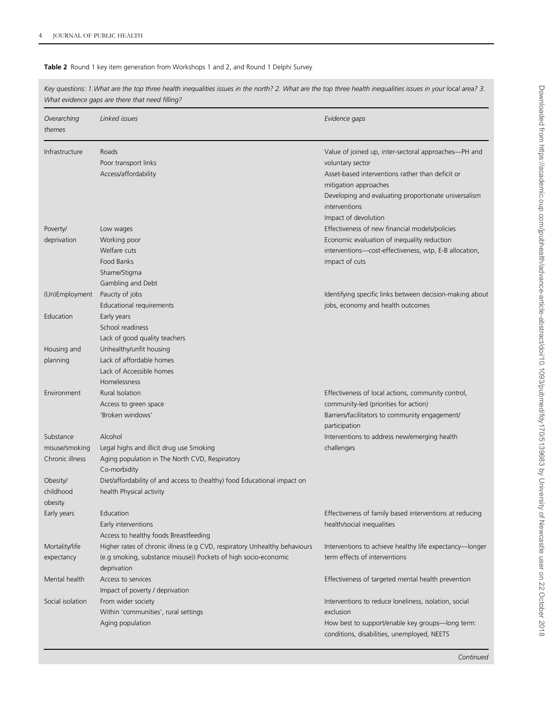### <span id="page-3-0"></span>Table 2 Round 1 key item generation from Workshops 1 and 2, and Round 1 Delphi Survey

|                                                | What evidence gaps are there that need filling?                                                                                                              |                                                                                                                                                                                                                                |
|------------------------------------------------|--------------------------------------------------------------------------------------------------------------------------------------------------------------|--------------------------------------------------------------------------------------------------------------------------------------------------------------------------------------------------------------------------------|
| Overarching<br>themes                          | Linked issues                                                                                                                                                | Evidence gaps                                                                                                                                                                                                                  |
| Infrastructure                                 | Roads<br>Poor transport links<br>Access/affordability                                                                                                        | Value of joined up, inter-sectoral approaches—PH and<br>voluntary sector<br>Asset-based interventions rather than deficit or<br>mitigation approaches<br>Developing and evaluating proportionate universalism<br>interventions |
| Poverty/<br>deprivation                        | Low wages<br>Working poor<br>Welfare cuts<br>Food Banks<br>Shame/Stigma<br>Gambling and Debt                                                                 | Impact of devolution<br>Effectiveness of new financial models/policies<br>Economic evaluation of inequality reduction<br>interventions-cost-effectiveness, wtp, E-B allocation,<br>impact of cuts                              |
| (Un)Employment                                 | Paucity of jobs<br>Educational requirements                                                                                                                  | Identifying specific links between decision-making about<br>jobs, economy and health outcomes                                                                                                                                  |
| Education                                      | Early years<br>School readiness<br>Lack of good quality teachers                                                                                             |                                                                                                                                                                                                                                |
| Housing and<br>planning                        | Unhealthy/unfit housing<br>Lack of affordable homes<br>Lack of Accessible homes<br><b>Homelessness</b>                                                       |                                                                                                                                                                                                                                |
| Environment                                    | Rural Isolation<br>Access to green space<br>'Broken windows'                                                                                                 | Effectiveness of local actions, community control,<br>community-led (priorities for action)<br>Barriers/facilitators to community engagement/<br>participation                                                                 |
| Substance<br>misuse/smoking<br>Chronic illness | Alcohol<br>Legal highs and illicit drug use Smoking<br>Aging population in The North CVD, Respiratory<br>Co-morbidity                                        | Interventions to address new/emerging health<br>challenges                                                                                                                                                                     |
| Obesity/<br>childhood<br>obesity               | Diet/affordability of and access to (healthy) food Educational impact on<br>health Physical activity                                                         |                                                                                                                                                                                                                                |
| Early years                                    | Education<br>Early interventions<br>Access to healthy foods Breastfeeding                                                                                    | Effectiveness of family based interventions at reducing<br>health/social inequalities                                                                                                                                          |
| Mortality/life<br>expectancy                   | Higher rates of chronic illness (e.g CVD, respiratory Unhealthy behaviours<br>(e.g smoking, substance misuse)) Pockets of high socio-economic<br>deprivation | Interventions to achieve healthy life expectancy-longer<br>term effects of interventions                                                                                                                                       |
| Mental health                                  | Access to services<br>Impact of poverty / deprivation                                                                                                        | Effectiveness of targeted mental health prevention                                                                                                                                                                             |
| Social isolation                               | From wider society<br>Within 'communities', rural settings<br>Aging population                                                                               | Interventions to reduce loneliness, isolation, social<br>exclusion<br>How best to support/enable key groups-long term:<br>conditions, disabilities, unemployed, NEETS                                                          |

Key questions: 1.What are the top three health inequalities issues in the north? 2. What are the top three health inequalities issues in your local area? 3.

**Continued**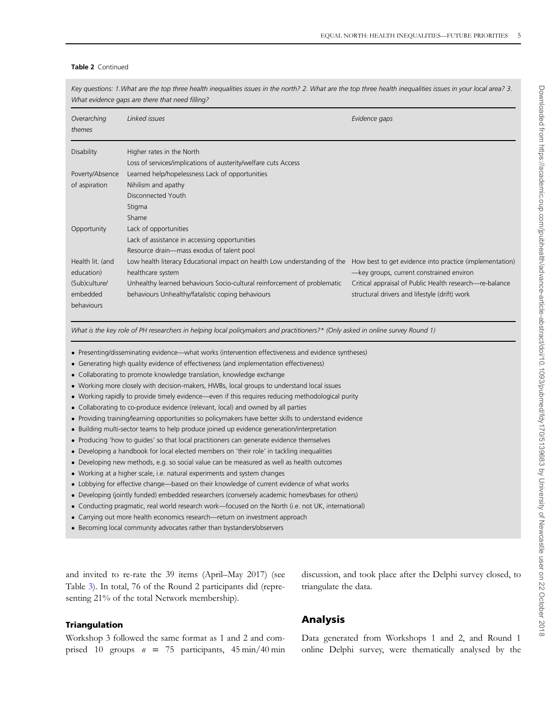### Table 2 Continued

Key questions: 1. What are the top three health inequalities issues in the north? 2. What are the top three health inequalities issues in your local area? 3. What evidence gaps are there that need filling?

| Overarching<br>themes | Linked issues                                                             | Evidence gaps                                           |
|-----------------------|---------------------------------------------------------------------------|---------------------------------------------------------|
| <b>Disability</b>     | Higher rates in the North                                                 |                                                         |
|                       | Loss of services/implications of austerity/welfare cuts Access            |                                                         |
| Poverty/Absence       | Learned help/hopelessness Lack of opportunities                           |                                                         |
| of aspiration         | Nihilism and apathy                                                       |                                                         |
|                       | Disconnected Youth                                                        |                                                         |
|                       | Stigma                                                                    |                                                         |
|                       | Shame                                                                     |                                                         |
| Opportunity           | Lack of opportunities                                                     |                                                         |
|                       | Lack of assistance in accessing opportunities                             |                                                         |
|                       | Resource drain-mass exodus of talent pool                                 |                                                         |
| Health lit. (and      | Low health literacy Educational impact on health Low understanding of the | How best to get evidence into practice (implementation) |
| education)            | healthcare system                                                         | -key groups, current constrained environ                |
| (Sub)culture/         | Unhealthy learned behaviours Socio-cultural reinforcement of problematic  | Critical appraisal of Public Health research—re-balance |
| embedded              | behaviours Unhealthy/fatalistic coping behaviours                         | structural drivers and lifestyle (drift) work           |
| behaviours            |                                                                           |                                                         |

What is the key role of PH researchers in helping local policymakers and practitioners?\* (Only asked in online survey Round 1)

- Presenting/disseminating evidence—what works (intervention effectiveness and evidence syntheses)
- Generating high quality evidence of effectiveness (and implementation effectiveness)
- Collaborating to promote knowledge translation, knowledge exchange
- Working more closely with decision-makers, HWBs, local groups to understand local issues
- Working rapidly to provide timely evidence—even if this requires reducing methodological purity
- Collaborating to co-produce evidence (relevant, local) and owned by all parties
- Providing training/learning opportunities so policymakers have better skills to understand evidence
- Building multi-sector teams to help produce joined up evidence generation/interpretation
- Producing 'how to guides' so that local practitioners can generate evidence themselves
- Developing a handbook for local elected members on 'their role' in tackling inequalities
- Developing new methods, e.g. so social value can be measured as well as health outcomes
- Working at a higher scale, i.e. natural experiments and system changes
- Lobbying for effective change—based on their knowledge of current evidence of what works
- Developing (jointly funded) embedded researchers (conversely academic homes/bases for others)
- Conducting pragmatic, real world research work—focused on the North (i.e. not UK, international)
- Carrying out more health economics research—return on investment approach
- Becoming local community advocates rather than bystanders/observers

and invited to re-rate the 39 items (April–May 2017) (see Table [3](#page-5-0)). In total, 76 of the Round 2 participants did (representing 21% of the total Network membership).

discussion, and took place after the Delphi survey closed, to triangulate the data.

#### Triangulation

Workshop 3 followed the same format as 1 and 2 and comprised 10 groups  $n = 75$  participants, 45 min/40 min

# Data generated from Workshops 1 and 2, and Round 1 online Delphi survey, were thematically analysed by the

Analysis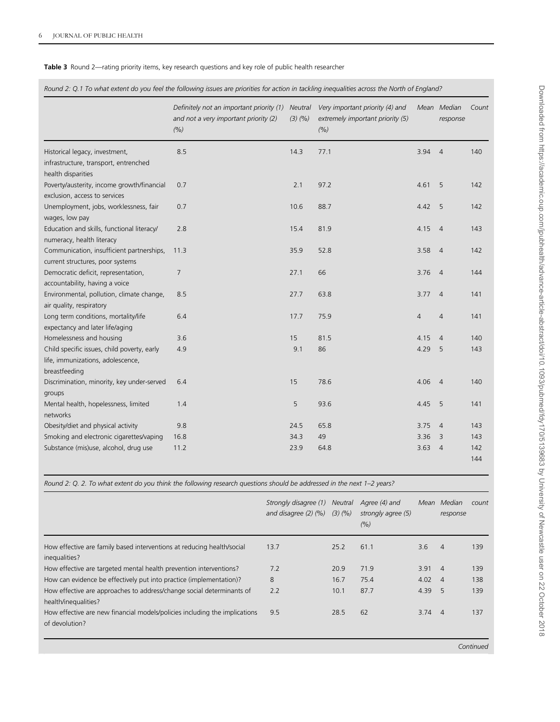<span id="page-5-0"></span>Table 3 Round 2—rating priority items, key research questions and key role of public health researcher

Round 2: Q.1 To what extent do you feel the following issues are priorities for action in tackling inequalities across the North of England?

|                                                                                                   | Definitely not an important priority (1)<br>and not a very important priority (2)<br>(%) | <b>Neutral</b><br>(3)(%) | Very important priority (4) and<br>extremely important priority (5)<br>(% ) |                | Mean Median<br>response | Count      |
|---------------------------------------------------------------------------------------------------|------------------------------------------------------------------------------------------|--------------------------|-----------------------------------------------------------------------------|----------------|-------------------------|------------|
| Historical legacy, investment,<br>infrastructure, transport, entrenched                           | 8.5                                                                                      | 14.3                     | 77.1                                                                        | 3.94           | $\overline{4}$          | 140        |
| health disparities<br>Poverty/austerity, income growth/financial<br>exclusion, access to services | 0.7                                                                                      | 2.1                      | 97.2                                                                        | 4.61           | 5                       | 142        |
| Unemployment, jobs, worklessness, fair<br>wages, low pay                                          | 0.7                                                                                      | 10.6                     | 88.7                                                                        | 4.42           | 5                       | 142        |
| Education and skills, functional literacy/<br>numeracy, health literacy                           | 2.8                                                                                      | 15.4                     | 81.9                                                                        | 4.15           | $\overline{4}$          | 143        |
| Communication, insufficient partnerships,<br>current structures, poor systems                     | 11.3                                                                                     | 35.9                     | 52.8                                                                        | 3.58           | $\overline{4}$          | 142        |
| Democratic deficit, representation,<br>accountability, having a voice                             | 7                                                                                        | 27.1                     | 66                                                                          | 3.76           | $\overline{4}$          | 144        |
| Environmental, pollution, climate change,<br>air quality, respiratory                             | 8.5                                                                                      | 27.7                     | 63.8                                                                        | 3.77           | $\overline{4}$          | 141        |
| Long term conditions, mortality/life<br>expectancy and later life/aging                           | 6.4                                                                                      | 17.7                     | 75.9                                                                        | $\overline{4}$ | $\overline{4}$          | 141        |
| Homelessness and housing                                                                          | 3.6                                                                                      | 15                       | 81.5                                                                        | 4.15           | $\overline{4}$          | 140        |
| Child specific issues, child poverty, early<br>life, immunizations, adolescence,<br>breastfeeding | 4.9                                                                                      | 9.1                      | 86                                                                          | 4.29           | 5                       | 143        |
| Discrimination, minority, key under-served<br>groups                                              | 6.4                                                                                      | 15                       | 78.6                                                                        | 4.06           | $\overline{4}$          | 140        |
| Mental health, hopelessness, limited<br>networks                                                  | 1.4                                                                                      | 5                        | 93.6                                                                        | 4.45           | 5                       | 141        |
| Obesity/diet and physical activity                                                                | 9.8                                                                                      | 24.5                     | 65.8                                                                        | 3.75           | $\overline{4}$          | 143        |
| Smoking and electronic cigarettes/vaping                                                          | 16.8                                                                                     | 34.3                     | 49                                                                          | 3.36           | 3                       | 143        |
| Substance (mis)use, alcohol, drug use                                                             | 11.2                                                                                     | 23.9                     | 64.8                                                                        | 3.63           | $\overline{4}$          | 142<br>144 |

Round 2: Q. 2. To what extent do you think the following research questions should be addressed in the next 1–2 years?

|                                                                                               | Strongly disagree (1)<br>and disagree $(2)$ $(%)$ $(3)$ $(%)$ | <b>Neutral</b> | Agree (4) and<br>strongly agree (5)<br>(% ) | Mean | Median<br>response | count |
|-----------------------------------------------------------------------------------------------|---------------------------------------------------------------|----------------|---------------------------------------------|------|--------------------|-------|
| How effective are family based interventions at reducing health/social<br>inequalities?       | 13.7                                                          | 25.2           | 61.1                                        | 3.6  | $\overline{4}$     | 139   |
| How effective are targeted mental health prevention interventions?                            | 7.2                                                           | 20.9           | 71.9                                        | 3.91 | $\overline{4}$     | 139   |
| How can evidence be effectively put into practice (implementation)?                           | 8                                                             | 16.7           | 75.4                                        | 4.02 | $\overline{4}$     | 138   |
| How effective are approaches to address/change social determinants of<br>health/inequalities? | 2.2                                                           | 10.1           | 87.7                                        | 4.39 | -5                 | 139   |
| How effective are new financial models/policies including the implications<br>of devolution?  | 9.5                                                           | 28.5           | 62                                          | 3.74 | $\overline{4}$     | 137   |
|                                                                                               |                                                               |                |                                             |      |                    |       |

Continued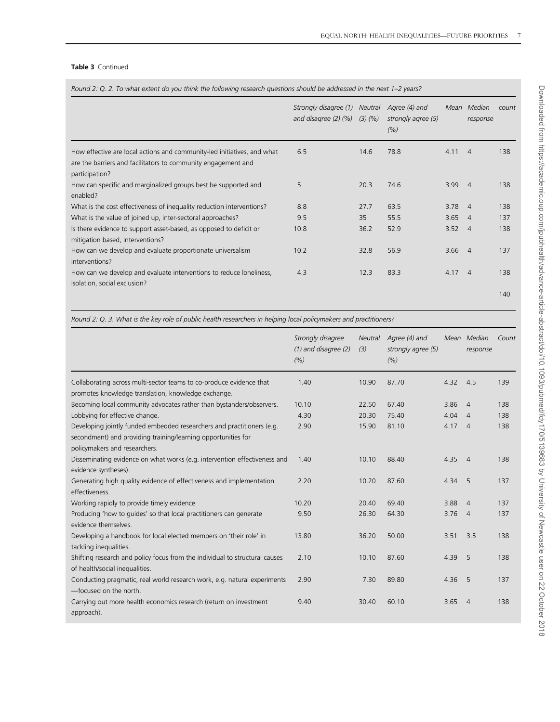### Table 3 Continued

| Round 2: Q. 2. To what extent do you think the following research guestions should be addressed in the next 1–2 years? |  |  |  |  |  |
|------------------------------------------------------------------------------------------------------------------------|--|--|--|--|--|
|------------------------------------------------------------------------------------------------------------------------|--|--|--|--|--|

|                                                                                                                                                            | Strongly disagree (1)<br>and disagree $(2)$ $(%)$ $(3)$ $(%)$ | Neutral | Agree (4) and<br>strongly agree (5)<br>(% ) |                | Mean Median<br>response | count |
|------------------------------------------------------------------------------------------------------------------------------------------------------------|---------------------------------------------------------------|---------|---------------------------------------------|----------------|-------------------------|-------|
| How effective are local actions and community-led initiatives, and what<br>are the barriers and facilitators to community engagement and<br>participation? | 6.5                                                           | 14.6    | 78.8                                        | 4.11           | $\overline{4}$          | 138   |
| How can specific and marginalized groups best be supported and<br>enabled?                                                                                 | 5                                                             | 20.3    | 74.6                                        | 3.99           | $\overline{4}$          | 138   |
| What is the cost effectiveness of inequality reduction interventions?                                                                                      | 8.8                                                           | 27.7    | 63.5                                        | 3.78           | $\overline{4}$          | 138   |
| What is the value of joined up, inter-sectoral approaches?                                                                                                 | 9.5                                                           | 35      | 55.5                                        | 3.65           | $\overline{4}$          | 137   |
| Is there evidence to support asset-based, as opposed to deficit or<br>mitigation based, interventions?                                                     | 10.8                                                          | 36.2    | 52.9                                        | $3.52 \quad 4$ |                         | 138   |
| How can we develop and evaluate proportionate universalism<br>interventions?                                                                               | 10.2                                                          | 32.8    | 56.9                                        | $3.66$ 4       |                         | 137   |
| How can we develop and evaluate interventions to reduce loneliness,<br>isolation, social exclusion?                                                        | 4.3                                                           | 12.3    | 83.3                                        | $4.17 \quad 4$ |                         | 138   |
|                                                                                                                                                            |                                                               |         |                                             |                |                         | 140   |

Round 2: Q. 3. What is the key role of public health researchers in helping local policymakers and practitioners?

|                                                                                                                                                                          | Strongly disagree<br>$(1)$ and disagree $(2)$<br>(%) | Neutral<br>(3) | Agree (4) and<br>strongly agree (5)<br>(% ) |                | Mean Median<br>response | Count |
|--------------------------------------------------------------------------------------------------------------------------------------------------------------------------|------------------------------------------------------|----------------|---------------------------------------------|----------------|-------------------------|-------|
| Collaborating across multi-sector teams to co-produce evidence that<br>promotes knowledge translation, knowledge exchange.                                               | 1.40                                                 | 10.90          | 87.70                                       | 4.32           | 4.5                     | 139   |
| Becoming local community advocates rather than bystanders/observers.                                                                                                     | 10.10                                                | 22.50          | 67.40                                       | 3.86           | $\overline{4}$          | 138   |
| Lobbying for effective change.                                                                                                                                           | 4.30                                                 | 20.30          | 75.40                                       | 4.04           | $\overline{4}$          | 138   |
| Developing jointly funded embedded researchers and practitioners (e.g.<br>secondment) and providing training/learning opportunities for<br>policymakers and researchers. | 2.90                                                 | 15.90          | 81.10                                       | $4.17 \quad 4$ |                         | 138   |
| Disseminating evidence on what works (e.g. intervention effectiveness and<br>evidence syntheses).                                                                        | 1.40                                                 | 10.10          | 88.40                                       | 4.35           | $\overline{4}$          | 138   |
| Generating high quality evidence of effectiveness and implementation<br>effectiveness.                                                                                   | 2.20                                                 | 10.20          | 87.60                                       | 4.34           | -5                      | 137   |
| Working rapidly to provide timely evidence                                                                                                                               | 10.20                                                | 20.40          | 69.40                                       | 3.88           | $\overline{4}$          | 137   |
| Producing 'how to guides' so that local practitioners can generate<br>evidence themselves.                                                                               | 9.50                                                 | 26.30          | 64.30                                       | 3.76           | $\overline{4}$          | 137   |
| Developing a handbook for local elected members on 'their role' in<br>tackling inequalities.                                                                             | 13.80                                                | 36.20          | 50.00                                       | 3.51           | 3.5                     | 138   |
| Shifting research and policy focus from the individual to structural causes<br>of health/social inequalities.                                                            | 2.10                                                 | 10.10          | 87.60                                       | 4.39           | 5                       | 138   |
| Conducting pragmatic, real world research work, e.g. natural experiments<br>-focused on the north.                                                                       | 2.90                                                 | 7.30           | 89.80                                       | 4.36           | - 5                     | 137   |
| Carrying out more health economics research (return on investment<br>approach).                                                                                          | 9.40                                                 | 30.40          | 60.10                                       | 3.65           | $\overline{4}$          | 138   |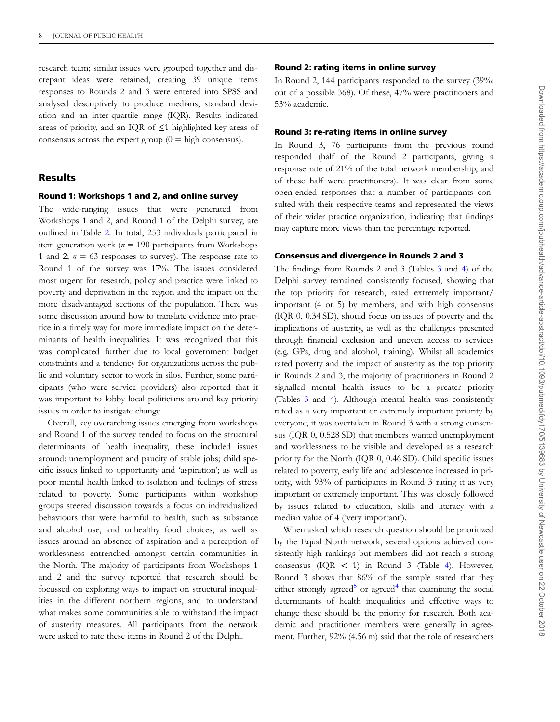research team; similar issues were grouped together and discrepant ideas were retained, creating 39 unique items responses to Rounds 2 and 3 were entered into SPSS and analysed descriptively to produce medians, standard deviation and an inter-quartile range (IQR). Results indicated areas of priority, and an IQR of  $\leq$ 1 highlighted key areas of consensus across the expert group  $(0 = \text{high consensus}).$ 

# Results

### Round 1: Workshops 1 and 2, and online survey

The wide-ranging issues that were generated from Workshops 1 and 2, and Round 1 of the Delphi survey, are outlined in Table [2](#page-3-0). In total, 253 individuals participated in item generation work ( $n = 190$  participants from Workshops 1 and 2;  $n = 63$  responses to survey). The response rate to Round 1 of the survey was 17%. The issues considered most urgent for research, policy and practice were linked to poverty and deprivation in the region and the impact on the more disadvantaged sections of the population. There was some discussion around how to translate evidence into practice in a timely way for more immediate impact on the determinants of health inequalities. It was recognized that this was complicated further due to local government budget constraints and a tendency for organizations across the public and voluntary sector to work in silos. Further, some participants (who were service providers) also reported that it was important to lobby local politicians around key priority issues in order to instigate change.

Overall, key overarching issues emerging from workshops and Round 1 of the survey tended to focus on the structural determinants of health inequality, these included issues around: unemployment and paucity of stable jobs; child specific issues linked to opportunity and 'aspiration'; as well as poor mental health linked to isolation and feelings of stress related to poverty. Some participants within workshop groups steered discussion towards a focus on individualized behaviours that were harmful to health, such as substance and alcohol use, and unhealthy food choices, as well as issues around an absence of aspiration and a perception of worklessness entrenched amongst certain communities in the North. The majority of participants from Workshops 1 and 2 and the survey reported that research should be focussed on exploring ways to impact on structural inequalities in the different northern regions, and to understand what makes some communities able to withstand the impact of austerity measures. All participants from the network were asked to rate these items in Round 2 of the Delphi.

### Round 2: rating items in online survey

In Round 2, 144 participants responded to the survey (39%: out of a possible 368). Of these, 47% were practitioners and 53% academic.

#### Round 3: re-rating items in online survey

In Round 3, 76 participants from the previous round responded (half of the Round 2 participants, giving a response rate of 21% of the total network membership, and of these half were practitioners). It was clear from some open-ended responses that a number of participants consulted with their respective teams and represented the views of their wider practice organization, indicating that findings may capture more views than the percentage reported.

#### Consensus and divergence in Rounds 2 and 3

The findings from Rounds 2 and 3 (Tables [3](#page-5-0) and [4\)](#page-8-0) of the Delphi survey remained consistently focused, showing that the top priority for research, rated extremely important/ important (4 or 5) by members, and with high consensus (IQR 0, 0.34 SD), should focus on issues of poverty and the implications of austerity, as well as the challenges presented through financial exclusion and uneven access to services (e.g. GPs, drug and alcohol, training). Whilst all academics rated poverty and the impact of austerity as the top priority in Rounds 2 and 3, the majority of practitioners in Round 2 signalled mental health issues to be a greater priority (Tables [3](#page-5-0) and [4\)](#page-8-0). Although mental health was consistently rated as a very important or extremely important priority by everyone, it was overtaken in Round 3 with a strong consensus (IQR 0, 0.528 SD) that members wanted unemployment and worklessness to be visible and developed as a research priority for the North (IQR 0, 0.46 SD). Child specific issues related to poverty, early life and adolescence increased in priority, with 93% of participants in Round 3 rating it as very important or extremely important. This was closely followed by issues related to education, skills and literacy with a median value of 4 ('very important').

When asked which research question should be prioritized by the Equal North network, several options achieved consistently high rankings but members did not reach a strong consensus (IQR < 1) in Round 3 (Table [4](#page-8-0)). However, Round 3 shows that 86% of the sample stated that they either strongly agreed<sup>[5](#page-12-0)</sup> or agreed<sup>[4](#page-12-0)</sup> that examining the social determinants of health inequalities and effective ways to change these should be the priority for research. Both academic and practitioner members were generally in agreement. Further, 92% (4.56 m) said that the role of researchers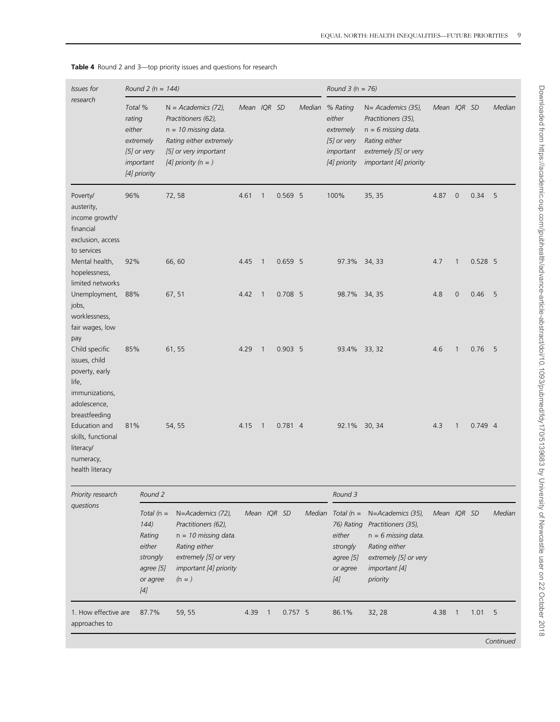| <b>Issues for</b>                                                                                   |                             | Round 2 ( $n = 144$ )                                                                                                                                                                                                                                                                                                                   |        |                                                                                                                                                     |             |                |             |           | Round $3(n = 76)$                                                                                                                                                                                                                                                                                                                                            |                                                                                                                                                     |             |                            |           |           |
|-----------------------------------------------------------------------------------------------------|-----------------------------|-----------------------------------------------------------------------------------------------------------------------------------------------------------------------------------------------------------------------------------------------------------------------------------------------------------------------------------------|--------|-----------------------------------------------------------------------------------------------------------------------------------------------------|-------------|----------------|-------------|-----------|--------------------------------------------------------------------------------------------------------------------------------------------------------------------------------------------------------------------------------------------------------------------------------------------------------------------------------------------------------------|-----------------------------------------------------------------------------------------------------------------------------------------------------|-------------|----------------------------|-----------|-----------|
| research                                                                                            | Total %<br>rating<br>either | extremely<br>[5] or very<br>important<br>[4] priority                                                                                                                                                                                                                                                                                   |        | $N = Academic (72)$ ,<br>Practitioners (62),<br>$n = 10$ missing data.<br>Rating either extremely<br>[5] or very important<br>[4] priority $(n = )$ | Mean IQR SD |                |             |           | Median % Rating<br>either<br>extremely<br>$[5]$ or very<br>important<br>[4] priority                                                                                                                                                                                                                                                                         | N= Academics (35),<br>Practitioners (35),<br>$n = 6$ missing data.<br>Rating either<br>extremely [5] or very<br>important [4] priority              | Mean IQR SD |                            |           | Mediar    |
| Poverty/<br>austerity,<br>income growth/<br>financial<br>exclusion, access<br>to services           | 96%                         |                                                                                                                                                                                                                                                                                                                                         | 72,58  |                                                                                                                                                     | 4.61        | $\mathbf{1}$   |             | 0.569 5   | 100%                                                                                                                                                                                                                                                                                                                                                         | 35, 35                                                                                                                                              | 4.87        | $\mathsf{O}\xspace$        | 0.34      | 5         |
| Mental health,<br>hopelessness,<br>limited networks                                                 | 92%                         |                                                                                                                                                                                                                                                                                                                                         | 66,60  |                                                                                                                                                     | 4.45        | $\overline{1}$ |             | $0.659$ 5 | 97.3% 34, 33                                                                                                                                                                                                                                                                                                                                                 |                                                                                                                                                     | 4.7         | $\mathbf{1}$               | $0.528$ 5 |           |
| Unemployment,<br>jobs,<br>worklessness,<br>fair wages, low                                          | 88%                         |                                                                                                                                                                                                                                                                                                                                         | 67, 51 |                                                                                                                                                     | 4.42        | $\overline{1}$ |             | $0.708$ 5 | 98.7% 34, 35                                                                                                                                                                                                                                                                                                                                                 |                                                                                                                                                     | 4.8         | 0                          | 0.46      | 5         |
| pay<br>Child specific<br>issues, child<br>poverty, early<br>life,<br>immunizations,<br>adolescence, | 85%                         |                                                                                                                                                                                                                                                                                                                                         | 61, 55 |                                                                                                                                                     | 4.29        | $\overline{1}$ |             | $0.903$ 5 | 93.4% 33, 32                                                                                                                                                                                                                                                                                                                                                 |                                                                                                                                                     | 4.6         | $\mathbf{1}$               | 0.76      | 5         |
| breastfeeding<br>Education and<br>skills, functional<br>literacy/<br>numeracy,<br>health literacy   | 81%                         |                                                                                                                                                                                                                                                                                                                                         | 54, 55 |                                                                                                                                                     | 4.15        | $\overline{1}$ |             | $0.781$ 4 | 92.1% 30, 34                                                                                                                                                                                                                                                                                                                                                 |                                                                                                                                                     | 4.3         | 1                          | $0.749$ 4 |           |
| Priority research                                                                                   |                             | Round 2                                                                                                                                                                                                                                                                                                                                 |        |                                                                                                                                                     |             |                |             |           | Round 3                                                                                                                                                                                                                                                                                                                                                      |                                                                                                                                                     |             |                            |           |           |
| questions                                                                                           |                             | Total $(n =$<br>144)<br>Rating<br>either<br>strongly<br>agree [5]<br>or agree<br>$[4] % \begin{center} \includegraphics[width=\linewidth]{imagesSupplemental/Imetad-Architecture.png} \end{center} \caption{The image shows the method of the method of the method. The left-hand side is the number of the method.} \label{fig:limal}$ |        | N=Academics (72),<br>Practitioners (62),<br>$n = 10$ missing data.<br>Rating either<br>extremely [5] or very<br>important [4] priority<br>$(n = )$  |             |                | Mean IQR SD |           | Median Total $(n =$<br>either<br>strongly<br>agree [5]<br>or agree<br>$[4] \centering% \includegraphics[width=1\textwidth]{images/TransY.pdf}% \caption{The figure shows the results of the estimators in the left hand side. The left hand side is the same as in the right hand side. The right-hand side is the same as in the right.} \label{fig:class}$ | N=Academics (35),<br>76) Rating Practitioners (35),<br>$n = 6$ missing data.<br>Rating either<br>extremely [5] or very<br>important [4]<br>priority | Mean IQR SD |                            |           | Median    |
| 1. How effective are<br>approaches to                                                               |                             | 87.7%                                                                                                                                                                                                                                                                                                                                   |        | 59, 55                                                                                                                                              | 4.39        | $\overline{1}$ |             | $0.757$ 5 | 86.1%                                                                                                                                                                                                                                                                                                                                                        | 32, 28                                                                                                                                              | 4.38        | $\overline{\phantom{0}}$ 1 | 1.01      | 5         |
|                                                                                                     |                             |                                                                                                                                                                                                                                                                                                                                         |        |                                                                                                                                                     |             |                |             |           |                                                                                                                                                                                                                                                                                                                                                              |                                                                                                                                                     |             |                            |           | Continued |

<span id="page-8-0"></span>Table 4 Round 2 and 3-top priority issues and questions for research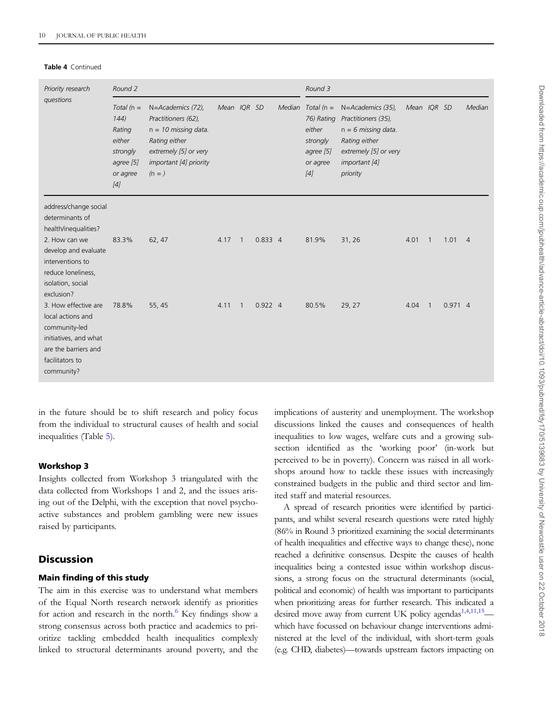#### Table 4 Continued

| Priority research                                                                                                                                                                      | Round 2                                                                               |                                                                                                                                                    |             | Round 3        |           |  |                                                                                           |                                                                                                                                          |             |                |           |                |
|----------------------------------------------------------------------------------------------------------------------------------------------------------------------------------------|---------------------------------------------------------------------------------------|----------------------------------------------------------------------------------------------------------------------------------------------------|-------------|----------------|-----------|--|-------------------------------------------------------------------------------------------|------------------------------------------------------------------------------------------------------------------------------------------|-------------|----------------|-----------|----------------|
| questions                                                                                                                                                                              | Total ( $n =$<br>144)<br>Rating<br>either<br>strongly<br>agree [5]<br>or agree<br>[4] | N=Academics (72),<br>Practitioners (62),<br>$n = 10$ missing data.<br>Rating either<br>extremely [5] or very<br>important [4] priority<br>$(n = )$ | Mean IQR SD |                |           |  | Median Total $(n =$<br>76) Rating<br>either<br>strongly<br>agree [5]<br>or agree<br>$[4]$ | N=Academics (35),<br>Practitioners (35),<br>$n = 6$ missing data.<br>Rating either<br>extremely [5] or very<br>important [4]<br>priority | Mean IQR SD |                |           | Mediar         |
| address/change social<br>determinants of<br>health/inequalities?<br>2. How can we<br>develop and evaluate<br>interventions to<br>reduce loneliness,<br>isolation, social<br>exclusion? | 83.3%                                                                                 | 62, 47                                                                                                                                             | 4.17        | $\overline{1}$ | 0.8334    |  | 81.9%                                                                                     | 31, 26                                                                                                                                   | 4.01        | $\overline{1}$ | 1.01      | $\overline{4}$ |
| 3. How effective are<br>local actions and<br>community-led<br>initiatives, and what<br>are the barriers and<br>facilitators to<br>community?                                           | 78.8%                                                                                 | 55, 45                                                                                                                                             | 4.11        | $\mathbf{1}$   | $0.922$ 4 |  | 80.5%                                                                                     | 29, 27                                                                                                                                   | 4.04        | $\overline{1}$ | $0.971$ 4 |                |

in the future should be to shift research and policy focus from the individual to structural causes of health and social inequalities (Table [5\)](#page-10-0).

## Workshop 3

Insights collected from Workshop 3 triangulated with the data collected from Workshops 1 and 2, and the issues arising out of the Delphi, with the exception that novel psychoactive substances and problem gambling were new issues raised by participants.

# **Discussion**

# Main finding of this study

The aim in this exercise was to understand what members of the Equal North research network identify as priorities for action and research in the north. $6$  Key findings show a strong consensus across both practice and academics to prioritize tackling embedded health inequalities complexly linked to structural determinants around poverty, and the implications of austerity and unemployment. The workshop discussions linked the causes and consequences of health inequalities to low wages, welfare cuts and a growing subsection identified as the 'working poor' (in-work but perceived to be in poverty). Concern was raised in all workshops around how to tackle these issues with increasingly constrained budgets in the public and third sector and limited staff and material resources.

A spread of research priorities were identified by participants, and whilst several research questions were rated highly (86% in Round 3 prioritized examining the social determinants of health inequalities and effective ways to change these), none reached a definitive consensus. Despite the causes of health inequalities being a contested issue within workshop discussions, a strong focus on the structural determinants (social, political and economic) of health was important to participants when prioritizing areas for further research. This indicated a desired move away from current UK policy agendas<sup>[1](#page-12-0),[4](#page-12-0),[11,15](#page-12-0)</sup> which have focussed on behaviour change interventions administered at the level of the individual, with short-term goals (e.g. CHD, diabetes)—towards upstream factors impacting on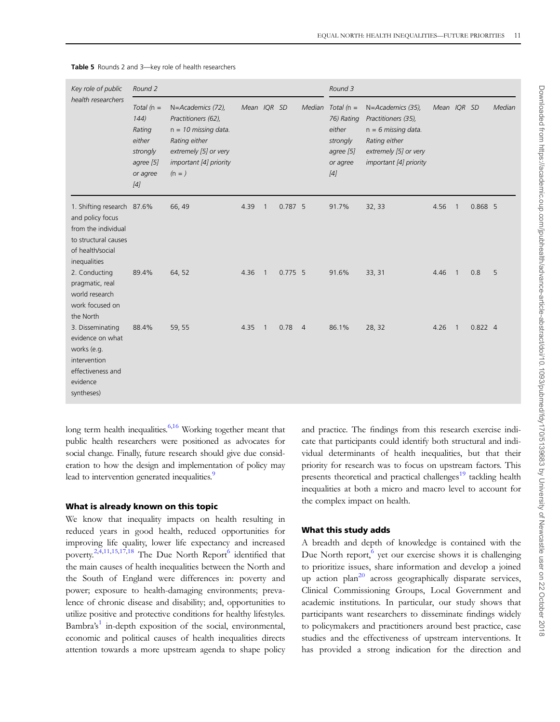| Key role of public<br>health researchers                                                                                          | Round 2                                                                                |                                                                                                                                                    |             | Round 3                    |           |                |                                                                                            |                                                                                                                                       |             |                          |           |        |
|-----------------------------------------------------------------------------------------------------------------------------------|----------------------------------------------------------------------------------------|----------------------------------------------------------------------------------------------------------------------------------------------------|-------------|----------------------------|-----------|----------------|--------------------------------------------------------------------------------------------|---------------------------------------------------------------------------------------------------------------------------------------|-------------|--------------------------|-----------|--------|
|                                                                                                                                   | Total $(n =$<br>144)<br>Rating<br>either<br>strongly<br>agree [5]<br>or agree<br>$[4]$ | N=Academics (72),<br>Practitioners (62),<br>$n = 10$ missing data.<br>Rating either<br>extremely [5] or very<br>important [4] priority<br>$(n = )$ | Mean IQR SD |                            |           |                | Median Total ( $n =$<br>76) Rating<br>either<br>strongly<br>agree [5]<br>or agree<br>$[4]$ | N=Academics (35),<br>Practitioners (35),<br>$n = 6$ missing data.<br>Rating either<br>extremely [5] or very<br>important [4] priority | Mean IQR SD |                          |           | Mediar |
| 1. Shifting research 87.6%<br>and policy focus<br>from the individual<br>to structural causes<br>of health/social<br>inequalities |                                                                                        | 66, 49                                                                                                                                             | 4.39        | $\overline{1}$             | $0.787$ 5 |                | 91.7%                                                                                      | 32, 33                                                                                                                                | 4.56        | $\overline{\phantom{0}}$ | 0.868 5   |        |
| 2. Conducting<br>pragmatic, real<br>world research<br>work focused on<br>the North                                                | 89.4%                                                                                  | 64, 52                                                                                                                                             | 4.36        | $\overline{1}$             | $0.775$ 5 |                | 91.6%                                                                                      | 33, 31                                                                                                                                | 4.46        | $\overline{1}$           | 0.8       | 5      |
| 3. Disseminating<br>evidence on what<br>works (e.g.<br>intervention<br>effectiveness and<br>evidence<br>syntheses)                | 88.4%                                                                                  | 59, 55                                                                                                                                             | 4.35        | $\overline{\phantom{0}}$ 1 | 0.78      | $\overline{4}$ | 86.1%                                                                                      | 28, 32                                                                                                                                | 4.26        | $\overline{1}$           | $0.822$ 4 |        |

<span id="page-10-0"></span>Table 5 Rounds 2 and 3-key role of health researchers

long term health inequalities.<sup>6,16</sup> Working together meant that public health researchers were positioned as advocates for social change. Finally, future research should give due consideration to how the design and implementation of policy may lead to intervention generated inequalities.<sup>9</sup>

### What is already known on this topic

We know that inequality impacts on health resulting in reduced years in good health, reduced opportunities for improving life quality, lower life expectancy and increased poverty.<sup>[2](#page-12-0),[4,11](#page-12-0),[15](#page-12-0),[17,18](#page-12-0)</sup> The Due North Report<sup>6</sup> identified that the main causes of health inequalities between the North and the South of England were differences in: poverty and power; exposure to health-damaging environments; prevalence of chronic disease and disability; and, opportunities to utilize positive and protective conditions for healthy lifestyles. Bambra's<sup>[1](#page-12-0)</sup> in-depth exposition of the social, environmental, economic and political causes of health inequalities directs attention towards a more upstream agenda to shape policy

and practice. The findings from this research exercise indicate that participants could identify both structural and individual determinants of health inequalities, but that their priority for research was to focus on upstream factors. This presents theoretical and practical challenges<sup>19</sup> tackling health inequalities at both a micro and macro level to account for the complex impact on health.

### What this study adds

A breadth and depth of knowledge is contained with the Due North report, $6 \text{ yet our exercise shows it is challenging}$  $6 \text{ yet our exercise shows it is challenging}$ to prioritize issues, share information and develop a joined up action plan<sup>[20](#page-12-0)</sup> across geographically disparate services, Clinical Commissioning Groups, Local Government and academic institutions. In particular, our study shows that participants want researchers to disseminate findings widely to policymakers and practitioners around best practice, case studies and the effectiveness of upstream interventions. It has provided a strong indication for the direction and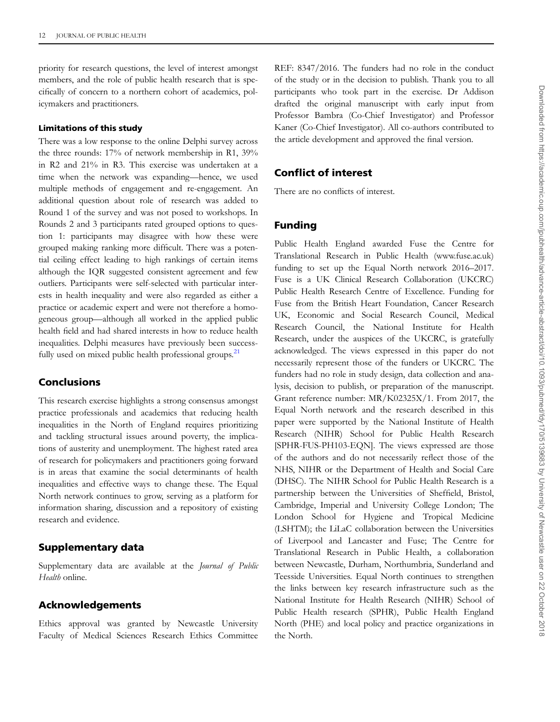priority for research questions, the level of interest amongst members, and the role of public health research that is specifically of concern to a northern cohort of academics, policymakers and practitioners.

### Limitations of this study

There was a low response to the online Delphi survey across the three rounds: 17% of network membership in R1, 39% in R2 and 21% in R3. This exercise was undertaken at a time when the network was expanding—hence, we used multiple methods of engagement and re-engagement. An additional question about role of research was added to Round 1 of the survey and was not posed to workshops. In Rounds 2 and 3 participants rated grouped options to question 1: participants may disagree with how these were grouped making ranking more difficult. There was a potential ceiling effect leading to high rankings of certain items although the IQR suggested consistent agreement and few outliers. Participants were self-selected with particular interests in health inequality and were also regarded as either a practice or academic expert and were not therefore a homogeneous group—although all worked in the applied public health field and had shared interests in how to reduce health inequalities. Delphi measures have previously been success-fully used on mixed public health professional groups.<sup>[21](#page-12-0)</sup>

# Conclusions

This research exercise highlights a strong consensus amongst practice professionals and academics that reducing health inequalities in the North of England requires prioritizing and tackling structural issues around poverty, the implications of austerity and unemployment. The highest rated area of research for policymakers and practitioners going forward is in areas that examine the social determinants of health inequalities and effective ways to change these. The Equal North network continues to grow, serving as a platform for information sharing, discussion and a repository of existing research and evidence.

# Supplementary data

Supplementary data are available at the Journal of Public Health online.

## Acknowledgements

Ethics approval was granted by Newcastle University Faculty of Medical Sciences Research Ethics Committee REF: 8347/2016. The funders had no role in the conduct of the study or in the decision to publish. Thank you to all participants who took part in the exercise. Dr Addison drafted the original manuscript with early input from Professor Bambra (Co-Chief Investigator) and Professor Kaner (Co-Chief Investigator). All co-authors contributed to the article development and approved the final version.

# Conflict of interest

There are no conflicts of interest.

# Funding

Public Health England awarded Fuse the Centre for Translational Research in Public Health (www.fuse.ac.uk) funding to set up the Equal North network 2016–2017. Fuse is a UK Clinical Research Collaboration (UKCRC) Public Health Research Centre of Excellence. Funding for Fuse from the British Heart Foundation, Cancer Research UK, Economic and Social Research Council, Medical Research Council, the National Institute for Health Research, under the auspices of the UKCRC, is gratefully acknowledged. The views expressed in this paper do not necessarily represent those of the funders or UKCRC. The funders had no role in study design, data collection and analysis, decision to publish, or preparation of the manuscript. Grant reference number: MR/K02325X/1. From 2017, the Equal North network and the research described in this paper were supported by the National Institute of Health Research (NIHR) School for Public Health Research [SPHR-FUS-PH103-EQN]. The views expressed are those of the authors and do not necessarily reflect those of the NHS, NIHR or the Department of Health and Social Care (DHSC). The NIHR School for Public Health Research is a partnership between the Universities of Sheffield, Bristol, Cambridge, Imperial and University College London; The London School for Hygiene and Tropical Medicine (LSHTM); the LiLaC collaboration between the Universities of Liverpool and Lancaster and Fuse; The Centre for Translational Research in Public Health, a collaboration between Newcastle, Durham, Northumbria, Sunderland and Teesside Universities. Equal North continues to strengthen the links between key research infrastructure such as the National Institute for Health Research (NIHR) School of Public Health research (SPHR), Public Health England North (PHE) and local policy and practice organizations in the North.